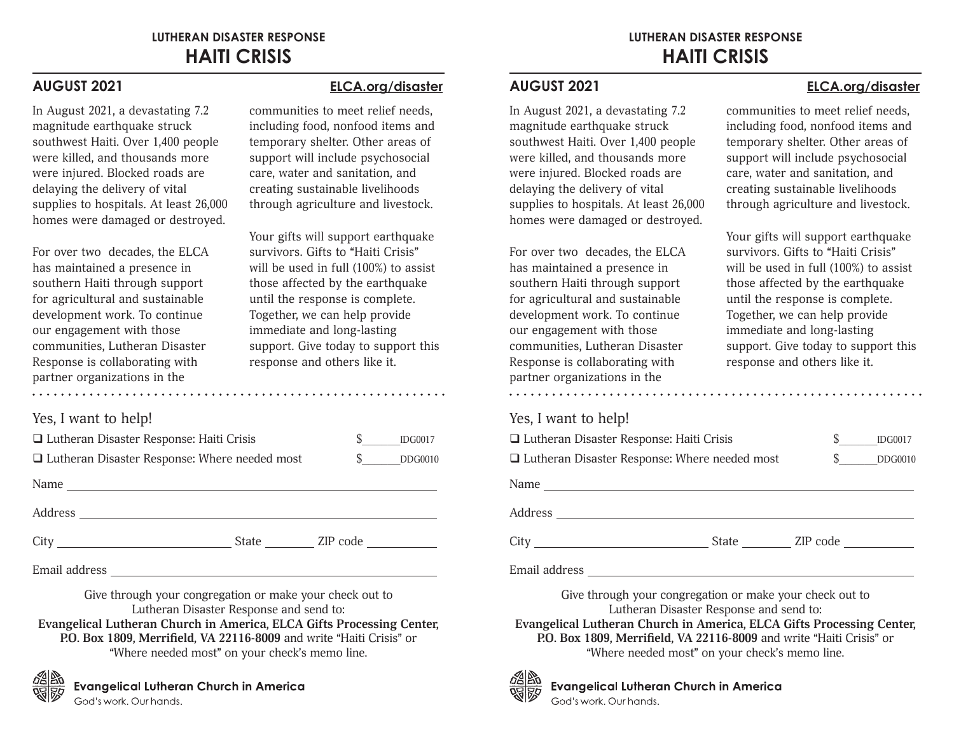In August 2021, a devastating 7.2 magnitude earthquake struck southwest Haiti. Over 1,400 people were killed, and thousands more were injured. Blocked roads are delaying the delivery of vital supplies to hospitals. At least 26,000 homes were damaged or destroyed.

For over two decades, the ELCA has maintained a presence in southern Haiti through support for agricultural and sustainable development work. To continue our engagement with those communities, Lutheran Disaster Response is collaborating with partner organizations in the

### **AUGUST 2021 ELCA.org/disaster**

communities to meet relief needs, including food, nonfood items and temporary shelter. Other areas of support will include psychosocial care, water and sanitation, and creating sustainable livelihoods through agriculture and livestock.

Your gifts will support earthquake survivors. Gifts to "Haiti Crisis" will be used in full (100%) to assist those affected by the earthquake until the response is complete. Together, we can help provide immediate and long-lasting support. Give today to support this response and others like it.

### Yes, I want to help!

| $\Box$ Lutheran Disaster Response: Haiti Crisis<br>$\Box$ Lutheran Disaster Response: Where needed most |                | S<br>$\mathbb{S}$ and $\mathbb{S}$ | <b>IDG0017</b><br><b>DDG0010</b> |
|---------------------------------------------------------------------------------------------------------|----------------|------------------------------------|----------------------------------|
|                                                                                                         |                |                                    |                                  |
|                                                                                                         |                |                                    |                                  |
| City                                                                                                    | State ZIP code |                                    |                                  |
|                                                                                                         |                |                                    |                                  |

Give through your congregation or make your check out to Lutheran Disaster Response and send to: **Evangelical Lutheran Church in America, ELCA Gifts Processing Center, P.O. Box 1809, Merrifield, VA 22116-8009** and write "Haiti Crisis" or "Where needed most" on your check's memo line.



**Evangelical Lutheran Church in America** God's work, Our hands.

## **LUTHERAN DISASTER RESPONSE HAITI CRISIS**

In August 2021, a devastating 7.2 magnitude earthquake struck southwest Haiti. Over 1,400 people were killed, and thousands more were injured. Blocked roads are delaying the delivery of vital supplies to hospitals. At least 26,000 homes were damaged or destroyed.

For over two decades, the ELCA has maintained a presence in southern Haiti through support for agricultural and sustainable development work. To continue our engagement with those communities, Lutheran Disaster Response is collaborating with partner organizations in the

## Yes, I want to help!

| $\Box$ Lutheran Disaster Response: Haiti Crisis                                                                                                                                                                                |                |    | <b>IDG0017</b> |
|--------------------------------------------------------------------------------------------------------------------------------------------------------------------------------------------------------------------------------|----------------|----|----------------|
| $\Box$ Lutheran Disaster Response: Where needed most                                                                                                                                                                           |                | S. | <b>DDG0010</b> |
|                                                                                                                                                                                                                                |                |    |                |
|                                                                                                                                                                                                                                |                |    |                |
|                                                                                                                                                                                                                                | State ZIP code |    |                |
| Email address North Communication and the communication of the communication of the communication of the communication of the communication of the communication of the communication of the communication of the communicatio |                |    |                |

Give through your congregation or make your check out to Lutheran Disaster Response and send to: **Evangelical Lutheran Church in America, ELCA Gifts Processing Center, P.O. Box 1809, Merrifield, VA 22116-8009** and write "Haiti Crisis" or "Where needed most" on your check's memo line.



# **Evangelical Lutheran Church in America**

God's work, Our hands.

#### **AUGUST 2021 ELCA.org/disaster**

communities to meet relief needs, including food, nonfood items and temporary shelter. Other areas of support will include psychosocial care, water and sanitation, and creating sustainable livelihoods through agriculture and livestock.

Your gifts will support earthquake survivors. Gifts to "Haiti Crisis" will be used in full (100%) to assist those affected by the earthquake until the response is complete. Together, we can help provide immediate and long-lasting support. Give today to support this response and others like it.